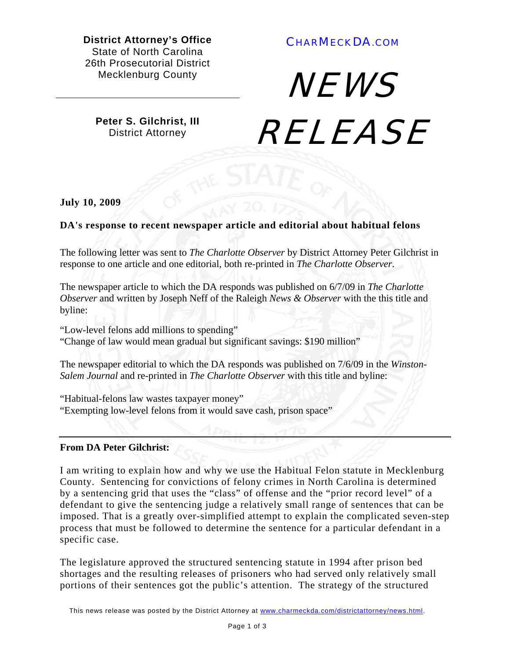**District Attorney's Office**  State of North Carolina 26th Prosecutorial District Mecklenburg County

## CHARMECKDA.COM

**Peter S. Gilchrist, III**  District Attorney

**NEWS RELEASE** 

**July 10, 2009** 

## **DA's response to recent newspaper article and editorial about habitual felons**

The following letter was sent to *The Charlotte Observer* by District Attorney Peter Gilchrist in response to one article and one editorial, both re-printed in *The Charlotte Observer*.

The newspaper article to which the DA responds was published on 6/7/09 in *The Charlotte Observer* and written by Joseph Neff of the Raleigh *News & Observer* with the this title and byline:

"Low-level felons add millions to spending" "Change of law would mean gradual but significant savings: \$190 million"

The newspaper editorial to which the DA responds was published on 7/6/09 in the *Winston-Salem Journal* and re-printed in *The Charlotte Observer* with this title and byline:

"Habitual-felons law wastes taxpayer money" "Exempting low-level felons from it would save cash, prison space"

## **From DA Peter Gilchrist:**

I am writing to explain how and why we use the Habitual Felon statute in Mecklenburg County. Sentencing for convictions of felony crimes in North Carolina is determined by a sentencing grid that uses the "class" of offense and the "prior record level" of a defendant to give the sentencing judge a relatively small range of sentences that can be imposed. That is a greatly over-simplified attempt to explain the complicated seven-step process that must be followed to determine the sentence for a particular defendant in a specific case.

The legislature approved the structured sentencing statute in 1994 after prison bed shortages and the resulting releases of prisoners who had served only relatively small portions of their sentences got the public's attention. The strategy of the structured

This news release was posted by the District Attorney at www.charmeckda.com/districtattorney/news.html.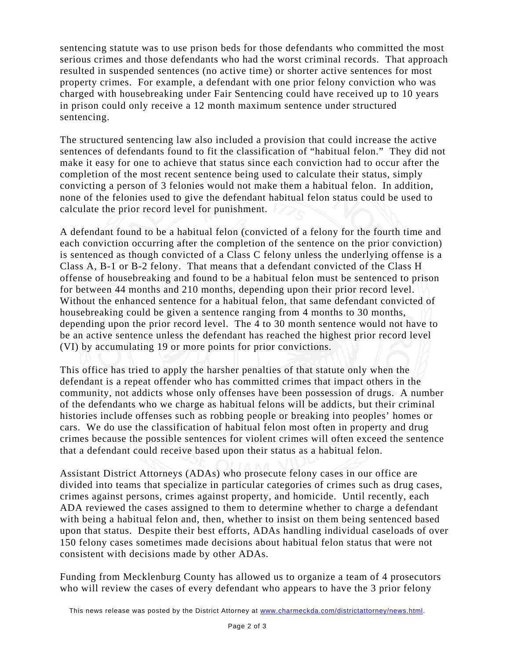sentencing statute was to use prison beds for those defendants who committed the most serious crimes and those defendants who had the worst criminal records. That approach resulted in suspended sentences (no active time) or shorter active sentences for most property crimes. For example, a defendant with one prior felony conviction who was charged with housebreaking under Fair Sentencing could have received up to 10 years in prison could only receive a 12 month maximum sentence under structured sentencing.

The structured sentencing law also included a provision that could increase the active sentences of defendants found to fit the classification of "habitual felon." They did not make it easy for one to achieve that status since each conviction had to occur after the completion of the most recent sentence being used to calculate their status, simply convicting a person of 3 felonies would not make them a habitual felon. In addition, none of the felonies used to give the defendant habitual felon status could be used to calculate the prior record level for punishment.

A defendant found to be a habitual felon (convicted of a felony for the fourth time and each conviction occurring after the completion of the sentence on the prior conviction) is sentenced as though convicted of a Class C felony unless the underlying offense is a Class A, B-1 or B-2 felony. That means that a defendant convicted of the Class H offense of housebreaking and found to be a habitual felon must be sentenced to prison for between 44 months and 210 months, depending upon their prior record level. Without the enhanced sentence for a habitual felon, that same defendant convicted of housebreaking could be given a sentence ranging from 4 months to 30 months, depending upon the prior record level. The 4 to 30 month sentence would not have to be an active sentence unless the defendant has reached the highest prior record level (VI) by accumulating 19 or more points for prior convictions.

This office has tried to apply the harsher penalties of that statute only when the defendant is a repeat offender who has committed crimes that impact others in the community, not addicts whose only offenses have been possession of drugs. A number of the defendants who we charge as habitual felons will be addicts, but their criminal histories include offenses such as robbing people or breaking into peoples' homes or cars. We do use the classification of habitual felon most often in property and drug crimes because the possible sentences for violent crimes will often exceed the sentence that a defendant could receive based upon their status as a habitual felon.

Assistant District Attorneys (ADAs) who prosecute felony cases in our office are divided into teams that specialize in particular categories of crimes such as drug cases, crimes against persons, crimes against property, and homicide. Until recently, each ADA reviewed the cases assigned to them to determine whether to charge a defendant with being a habitual felon and, then, whether to insist on them being sentenced based upon that status. Despite their best efforts, ADAs handling individual caseloads of over 150 felony cases sometimes made decisions about habitual felon status that were not consistent with decisions made by other ADAs.

Funding from Mecklenburg County has allowed us to organize a team of 4 prosecutors who will review the cases of every defendant who appears to have the 3 prior felony